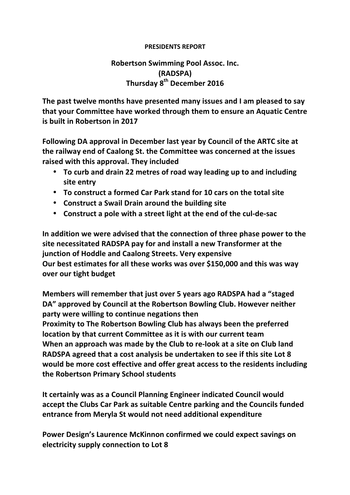## **PRESIDENTS REPORT**

## **Robertson Swimming Pool Assoc. Inc. (RADSPA) Thursday 8th December 2016**

**The past twelve months have presented many issues and I am pleased to say** that your Committee have worked through them to ensure an Aquatic Centre **is built in Robertson in 2017** 

**Following DA approval in December last year by Council of the ARTC site at the railway end of Caalong St. the Committee was concerned at the issues** raised with this approval. They included

- To curb and drain 22 metres of road way leading up to and including **site entry**
- To construct a formed Car Park stand for 10 cars on the total site
- **Construct a Swail Drain around the building site**
- **Construct a pole with a street light at the end of the cul-de-sac**

In addition we were advised that the connection of three phase power to the **site necessitated RADSPA pay for and install a new Transformer at the junction of Hoddle and Caalong Streets. Very expensive Our best estimates for all these works was over \$150,000 and this was way over our tight budget**

**Members will remember that just over 5 years ago RADSPA had a "staged"** DA" approved by Council at the Robertson Bowling Club. However neither **party were willing to continue negations then Proximity to The Robertson Bowling Club has always been the preferred location by that current Committee as it is with our current team** When an approach was made by the Club to re-look at a site on Club land **RADSPA** agreed that a cost analysis be undertaken to see if this site Lot 8 **would be more cost effective and offer great access to the residents including the Robertson Primary School students**

**It certainly was as a Council Planning Engineer indicated Council would accept the Clubs Car Park as suitable Centre parking and the Councils funded entrance from Meryla St would not need additional expenditure** 

**Power Design's Laurence McKinnon confirmed we could expect savings on electricity** supply connection to Lot 8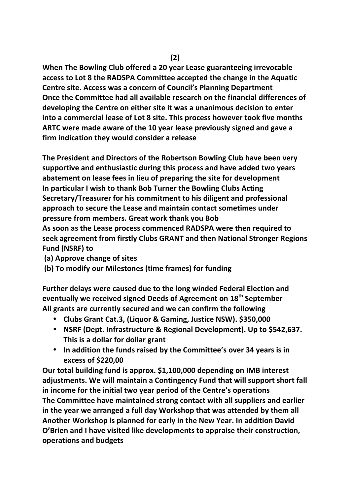**When The Bowling Club offered a 20 year Lease guaranteeing irrevocable** access to Lot 8 the RADSPA Committee accepted the change in the Aquatic **Centre site. Access was a concern of Council's Planning Department Once the Committee had all available research on the financial differences of** developing the Centre on either site it was a unanimous decision to enter into a commercial lease of Lot 8 site. This process however took five months ARTC were made aware of the 10 year lease previously signed and gave a **firm indication they would consider a release** 

**The President and Directors of the Robertson Bowling Club have been very** supportive and enthusiastic during this process and have added two years abatement on lease fees in lieu of preparing the site for development In particular I wish to thank Bob Turner the Bowling Clubs Acting **Secretary/Treasurer for his commitment to his diligent and professional** approach to secure the Lease and maintain contact sometimes under **pressure from members. Great work thank you Bob** 

As soon as the Lease process commenced RADSPA were then required to **seek** agreement from firstly Clubs GRANT and then National Stronger Regions **Fund (NSRF) to**

- **(a) Approve change of sites**
- **(b) To modify our Milestones (time frames) for funding**

Further delays were caused due to the long winded Federal Election and **eventually we received signed Deeds of Agreement on 18th September** All grants are currently secured and we can confirm the following

- **Clubs Grant Cat.3, (Liquor & Gaming, Justice NSW). \$350,000**
- **NSRF (Dept. Infrastructure & Regional Development). Up to \$542,637. This is a dollar for dollar grant**
- In addition the funds raised by the Committee's over 34 years is in **excess of \$220,00**

Our total building fund is approx. \$1,100,000 depending on IMB interest adjustments. We will maintain a Contingency Fund that will support short fall in income for the initial two year period of the Centre's operations **The Committee have maintained strong contact with all suppliers and earlier in the year we arranged a full day Workshop that was attended by them all** Another Workshop is planned for early in the New Year. In addition David **O'Brien and I have visited like developments to appraise their construction, operations and budgets**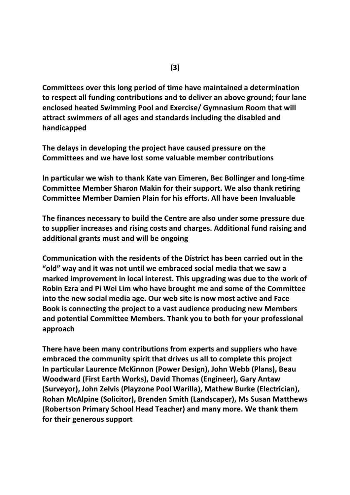**Committees over this long period of time have maintained a determination** to respect all funding contributions and to deliver an above ground; four lane enclosed heated Swimming Pool and Exercise/ Gymnasium Room that will attract swimmers of all ages and standards including the disabled and **handicapped**

The delays in developing the project have caused pressure on the **Committees and we have lost some valuable member contributions**

**In particular we wish to thank Kate van Eimeren, Bec Bollinger and long-time Committee Member Sharon Makin for their support. We also thank retiring Committee Member Damien Plain for his efforts. All have been Invaluable**

The finances necessary to build the Centre are also under some pressure due to supplier increases and rising costs and charges. Additional fund raising and **additional grants must and will be ongoing**

**Communication with the residents of the District has been carried out in the**  "old" way and it was not until we embraced social media that we saw a marked improvement in local interest. This upgrading was due to the work of **Robin Ezra and Pi Wei Lim who have brought me and some of the Committee into the new social media age. Our web site is now most active and Face** Book is connecting the project to a vast audience producing new Members and potential Committee Members. Thank you to both for your professional **approach**

**There have been many contributions from experts and suppliers who have** embraced the community spirit that drives us all to complete this project **In particular Laurence McKinnon (Power Design), John Webb (Plans), Beau Woodward (First Earth Works), David Thomas (Engineer), Gary Antaw** (Surveyor), John Zelvis (Playzone Pool Warilla), Mathew Burke (Electrician), **Rohan McAlpine (Solicitor), Brenden Smith (Landscaper), Ms Susan Matthews (Robertson Primary School Head Teacher) and many more. We thank them**  for their generous support